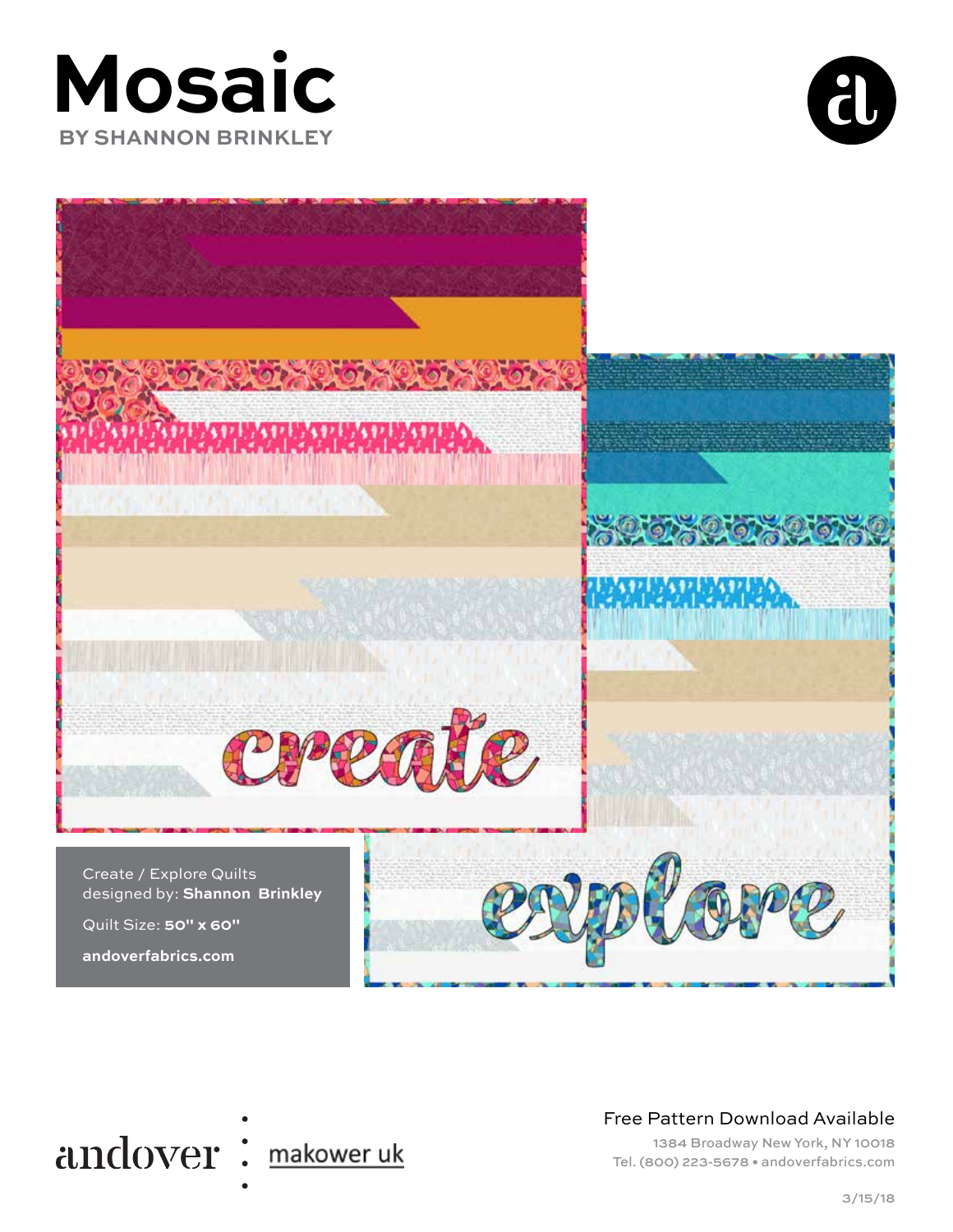## **Mosaic BY SHANNON BRINKLEY**







#### Free Pattern Download Available

1384 Broadway New York, NY 10018 Tel. (800) 223-5678 • andoverfabrics.com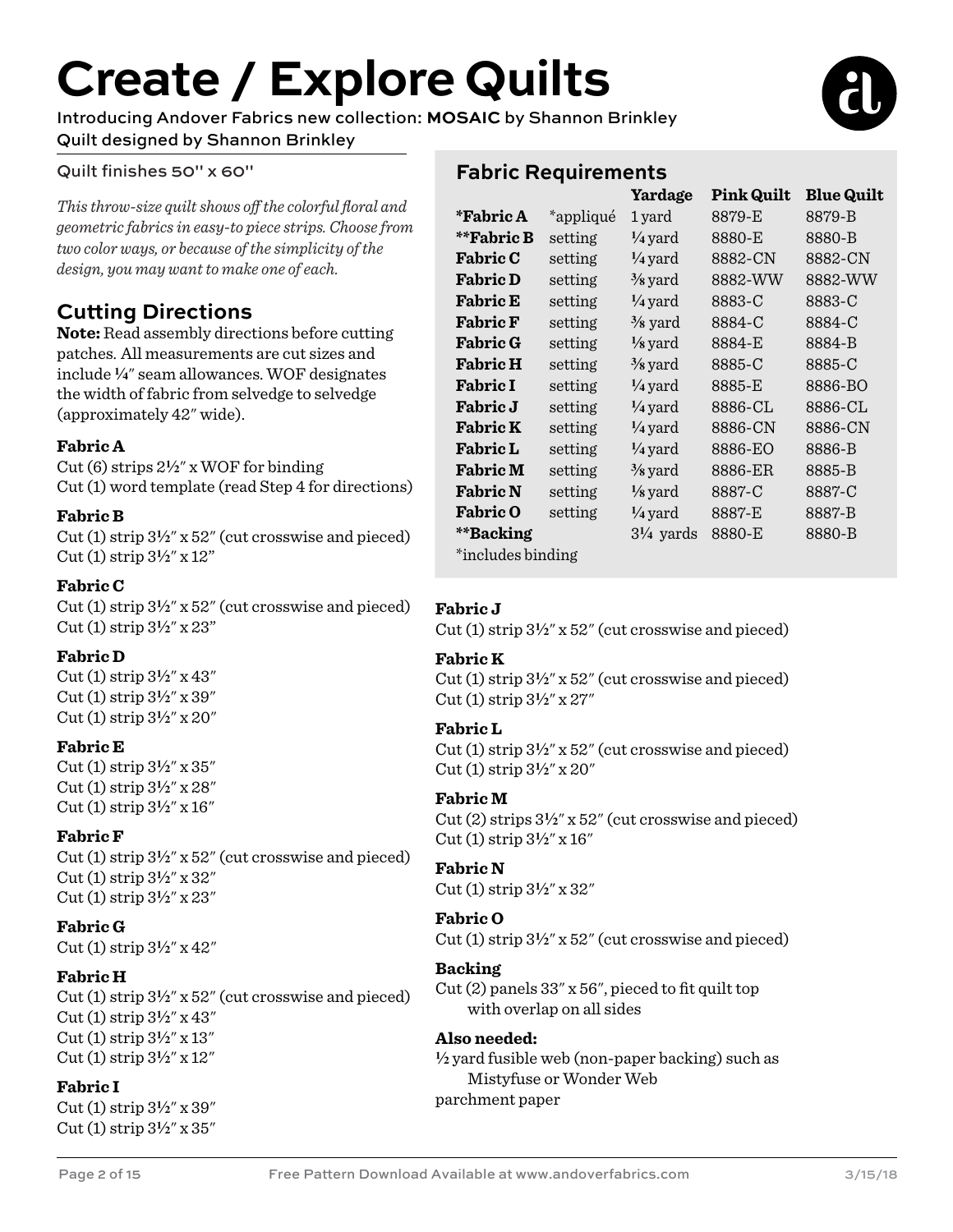# **Create / Explore Quilts**

Introducing Andover Fabrics new collection: **MOSAIC** by Shannon Brinkley Quilt designed by Shannon Brinkley

#### Quilt finishes 50" x 60"

*This throw-size quilt shows off the colorful floral and geometric fabrics in easy-to piece strips. Choose from two color ways, or because of the simplicity of the design, you may want to make one of each.* 

#### **Cutting Directions**

**Note:** Read assembly directions before cutting patches. All measurements are cut sizes and include **4**" seam allowances. WOF designates the width of fabric from selvedge to selvedge (approximately 42" wide).

#### **Fabric A**

Cut (6) strips 2**2**" x WOF for binding Cut (1) word template (read Step 4 for directions)

#### **Fabric B**

Cut (1) strip 3**2**" x 52" (cut crosswise and pieced) Cut (1) strip 3**2**" x 12"

#### **Fabric C**

Cut (1) strip 3**2**" x 52" (cut crosswise and pieced) Cut (1) strip 3**2**" x 23"

#### **Fabric D**

Cut (1) strip 3**2**" x 43" Cut (1) strip 3**2**" x 39" Cut (1) strip 3**2**" x 20"

#### **Fabric E**

Cut (1) strip 3**2**" x 35" Cut (1) strip 3**2**" x 28" Cut (1) strip 3**2**" x 16"

#### **Fabric F**

Cut (1) strip 3**2**" x 52" (cut crosswise and pieced) Cut (1) strip 3**2**" x 32" Cut (1) strip 3**2**" x 23"

#### **Fabric G**

Cut (1) strip 3**2**" x 42"

#### **Fabric H**

Cut  $(1)$  strip  $3\frac{1}{2}$ " x  $52$ " (cut crosswise and pieced) Cut (1) strip 3**2**" x 43" Cut (1) strip 3**2**" x 13" Cut (1) strip 3**2**" x 12"

#### **Fabric I**

Cut (1) strip 3**2**" x 39" Cut (1) strip 3**2**" x 35"

#### **Fabric Requirements**

|                   |           | Yardage              | <b>Pink Quilt</b> | <b>Blue Quilt</b> |
|-------------------|-----------|----------------------|-------------------|-------------------|
| <i>*</i> Fabric A | *appliqué | 1 yard               | 8879-E            | 8879-B            |
| **Fabric B        | setting   | $\frac{1}{4}$ yard   | 8880-E            | 8880-B            |
| <b>Fabric C</b>   | setting   | $\frac{1}{4}$ yard   | 8882-CN           | 8882-CN           |
| <b>Fabric D</b>   | setting   | $\frac{3}{8}$ yard   | 8882-WW           | 8882-WW           |
| <b>Fabric E</b>   | setting   | $\frac{1}{4}$ yard   | 8883-C            | 8883-C            |
| <b>Fabric F</b>   | setting   | $\frac{3}{8}$ yard   | 8884-C            | 8884-C            |
| <b>Fabric G</b>   | setting   | $\frac{1}{8}$ yard   | 8884-E            | 8884-B            |
| <b>Fabric H</b>   | setting   | $\frac{3}{8}$ yard   | 8885-C            | 8885-C            |
| <b>Fabric I</b>   | setting   | $\frac{1}{4}$ yard   | 8885-E            | 8886-BO           |
| <b>Fabric</b> J   | setting   | $\frac{1}{4}$ yard   | 8886-CL           | 8886-CL           |
| <b>Fabric K</b>   | setting   | $\frac{1}{4}$ yard   | 8886-CN           | 8886-CN           |
| <b>Fabric L</b>   | setting   | $\frac{1}{4}$ yard   | 8886-EO           | 8886-B            |
| <b>Fabric M</b>   | setting   | $\frac{3}{8}$ yard   | 8886-ER           | 8885-B            |
| <b>Fabric N</b>   | setting   | $\frac{1}{8}$ yard   | 8887-C            | 8887-C            |
| <b>Fabric O</b>   | setting   | $\frac{1}{4}$ yard   | 8887-E            | 8887-B            |
| **Backing         |           | $3\frac{1}{4}$ yards | 8880-E            | 8880-B            |
| *includes binding |           |                      |                   |                   |

#### **Fabric J**

Cut (1) strip 3**2**" x 52" (cut crosswise and pieced)

#### **Fabric K**

Cut (1) strip 3**2**" x 52" (cut crosswise and pieced) Cut (1) strip 3**2**" x 27"

#### **Fabric L**

Cut (1) strip 3**2**" x 52" (cut crosswise and pieced) Cut (1) strip 3**2**" x 20"

#### **Fabric M**

Cut (2) strips 3**2**" x 52" (cut crosswise and pieced) Cut (1) strip 3**2**" x 16"

#### **Fabric N**

Cut (1) strip 3**2**" x 32"

#### **Fabric O**

Cut (1) strip 3**2**" x 52" (cut crosswise and pieced)

#### **Backing**

Cut (2) panels 33" x 56", pieced to fit quilt top with overlap on all sides

#### **Also needed:**

 $\frac{1}{2}$  yard fusible web (non-paper backing) such as Mistyfuse or Wonder Web parchment paper

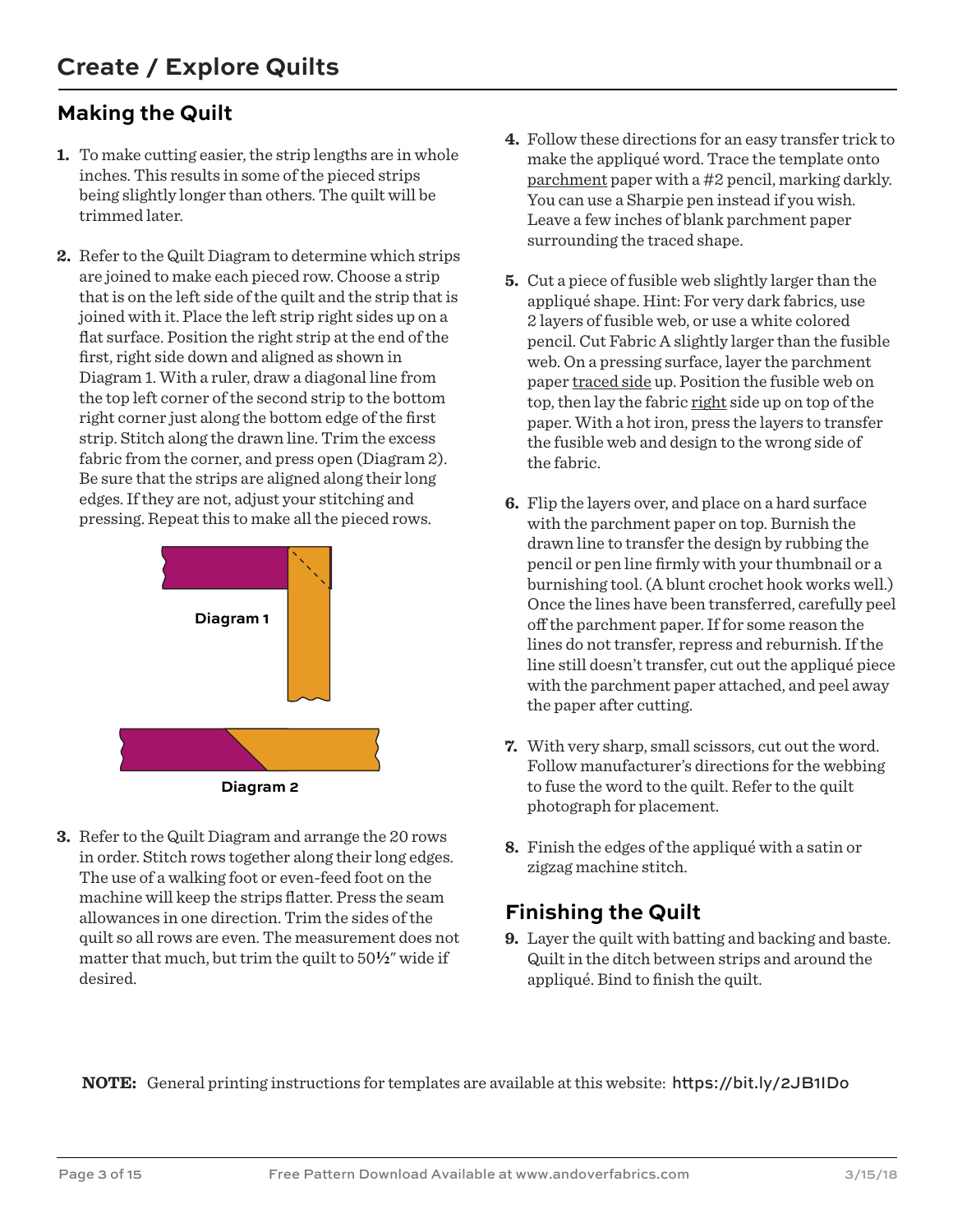#### **Making the Quilt**

- **1.** To make cutting easier, the strip lengths are in whole inches. This results in some of the pieced strips being slightly longer than others. The quilt will be trimmed later.
- **2.** Refer to the Quilt Diagram to determine which strips are joined to make each pieced row. Choose a strip that is on the left side of the quilt and the strip that is joined with it. Place the left strip right sides up on a flat surface. Position the right strip at the end of the first, right side down and aligned as shown in Diagram 1. With a ruler, draw a diagonal line from the top left corner of the second strip to the bottom right corner just along the bottom edge of the first strip. Stitch along the drawn line. Trim the excess fabric from the corner, and press open (Diagram 2). Be sure that the strips are aligned along their long edges. If they are not, adjust your stitching and pressing. Repeat this to make all the pieced rows.





**3.** Refer to the Quilt Diagram and arrange the 20 rows in order. Stitch rows together along their long edges. The use of a walking foot or even-feed foot on the machine will keep the strips flatter. Press the seam allowances in one direction. Trim the sides of the quilt so all rows are even. The measurement does not matter that much, but trim the quilt to 50**2**" wide if desired.

- **4.** Follow these directions for an easy transfer trick to make the appliqué word. Trace the template onto parchment paper with a #2 pencil, marking darkly. You can use a Sharpie pen instead if you wish. Leave a few inches of blank parchment paper surrounding the traced shape.
- **5.** Cut a piece of fusible web slightly larger than the appliqué shape. Hint: For very dark fabrics, use 2 layers of fusible web, or use a white colored pencil. Cut Fabric A slightly larger than the fusible web. On a pressing surface, layer the parchment paper traced side up. Position the fusible web on top, then lay the fabric right side up on top of the paper. With a hot iron, press the layers to transfer the fusible web and design to the wrong side of the fabric.
- **6.** Flip the layers over, and place on a hard surface with the parchment paper on top. Burnish the drawn line to transfer the design by rubbing the pencil or pen line firmly with your thumbnail or a burnishing tool. (A blunt crochet hook works well.) Once the lines have been transferred, carefully peel off the parchment paper. If for some reason the lines do not transfer, repress and reburnish. If the line still doesn't transfer, cut out the appliqué piece with the parchment paper attached, and peel away the paper after cutting.
- **7.** With very sharp, small scissors, cut out the word. Follow manufacturer's directions for the webbing to fuse the word to the quilt. Refer to the quilt photograph for placement.
- **8.** Finish the edges of the appliqué with a satin or zigzag machine stitch.

#### **Finishing the Quilt**

**9.** Layer the quilt with batting and backing and baste. Quilt in the ditch between strips and around the appliqué. Bind to finish the quilt.

**NOTE:** General printing instructions for templates are available at this website: https://bit.ly/2JB1IDo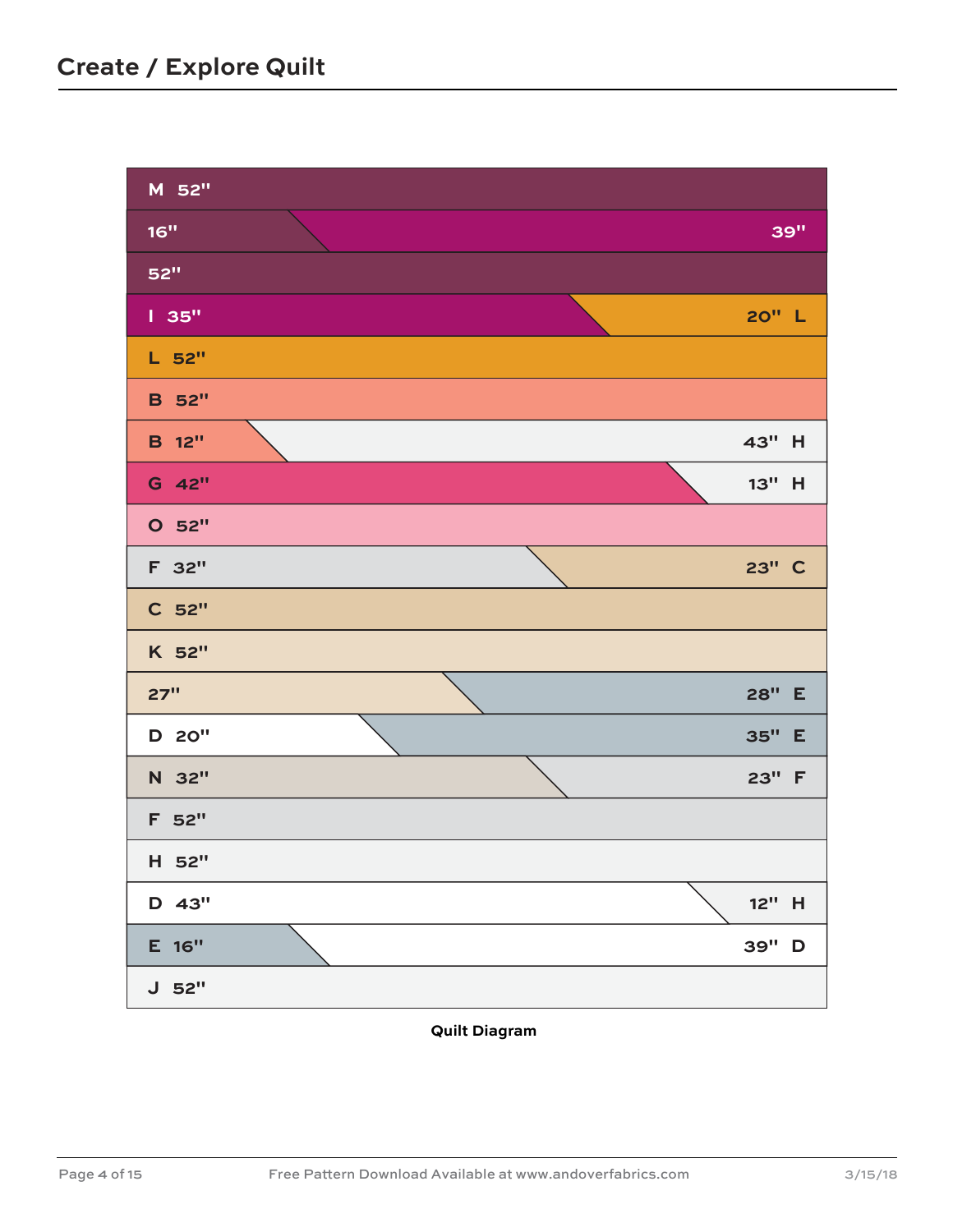

**Quilt Diagram**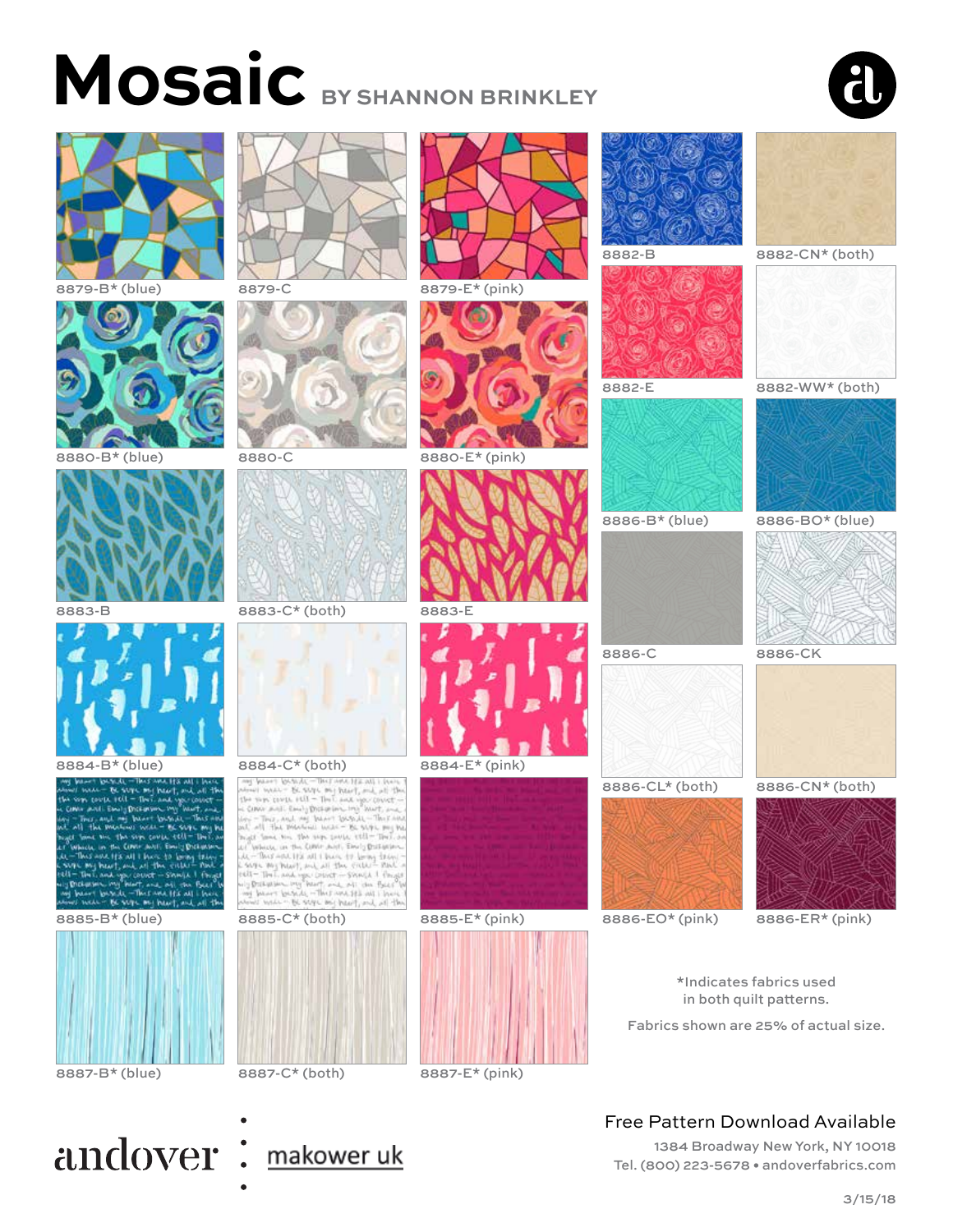# **Mosaic BY SHANNON BRINKLEY**







8880-B<sup>\*</sup> (blue) 8880-C 8880-E<sup>\*</sup> (pink)

















# 8885-B\* (blue) 8885-C\* (both) 8885-E\* (pink)













8887-B\* (blue) 8887-C\* (both) 8887-E\* (pink)





8886-C 8886-CK



8886-CL\* (both) 8886-CN\* (both)



8886-EO\* (pink) 8886-ER\* (pink)

\*Indicates fabrics used in both quilt patterns.

Fabrics shown are 25% of actual size.

#### Free Pattern Download Available

1384 Broadway New York, NY 10018 Tel. (800) 223-5678 • andoverfabrics.com

### andover: makower uk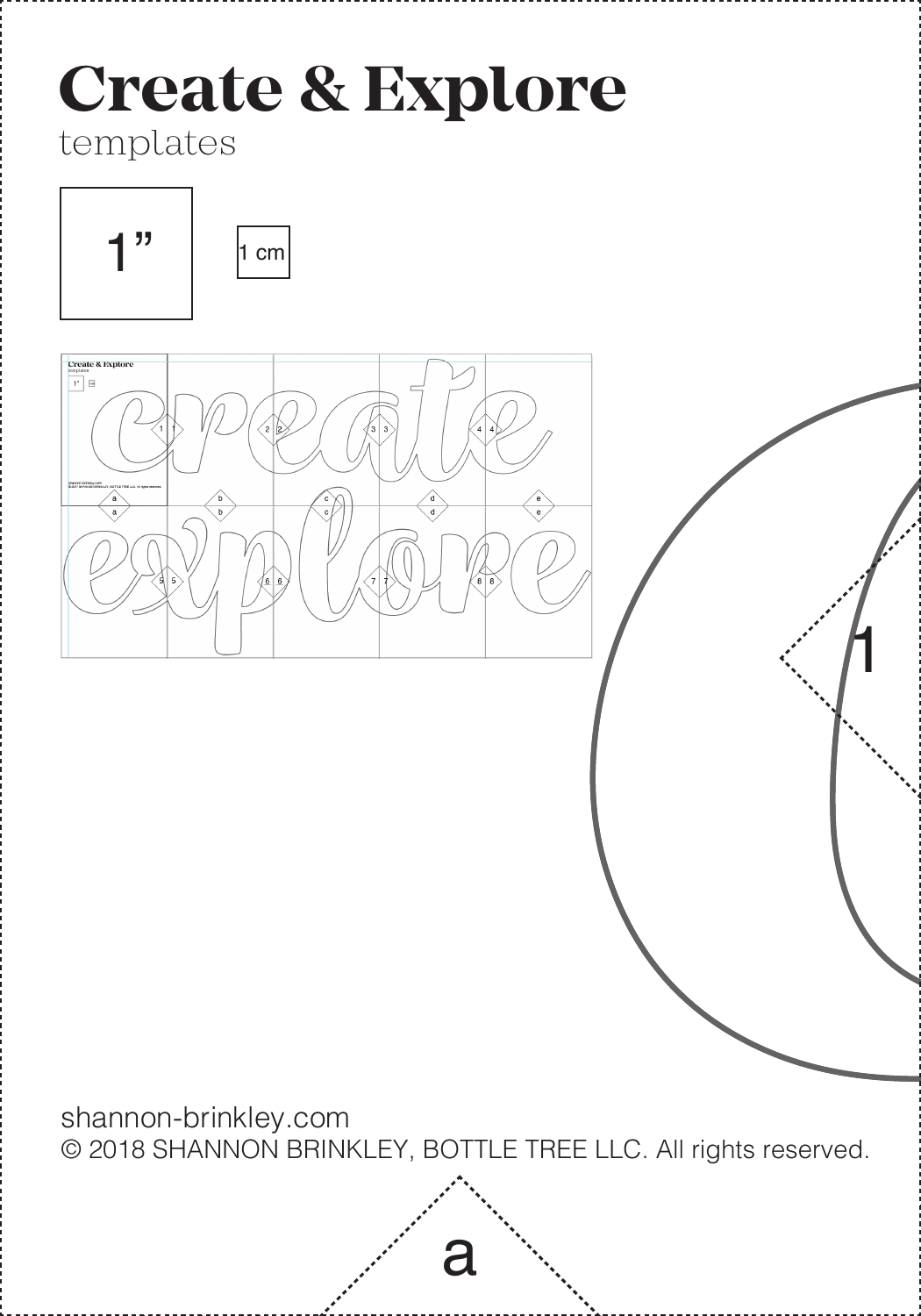# **Create & Explore**

#### templates





shannon-brinkley.com © 2018 SHANNON BRINKLEY, BOTTLE TREE LLC. All rights reserved.

a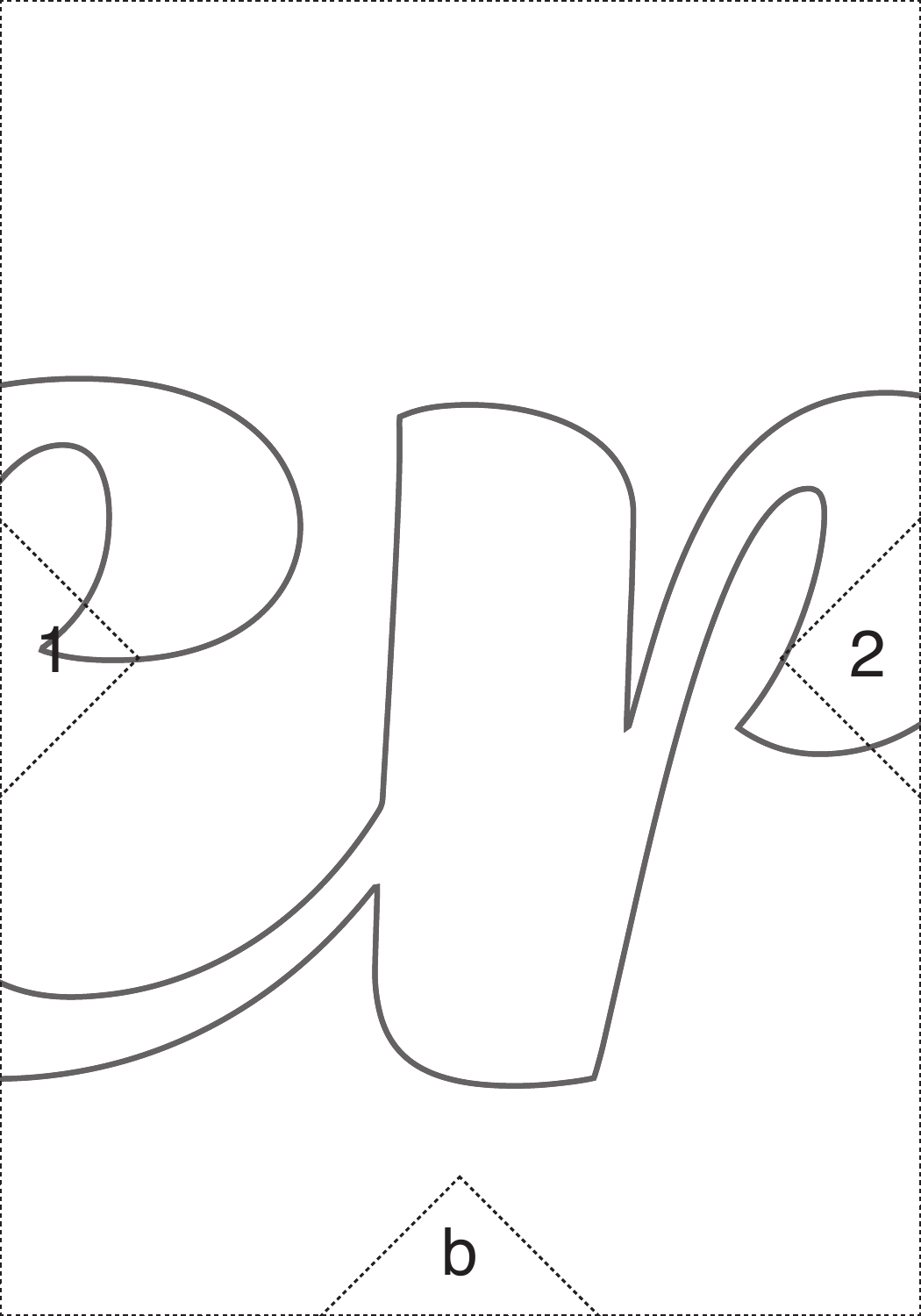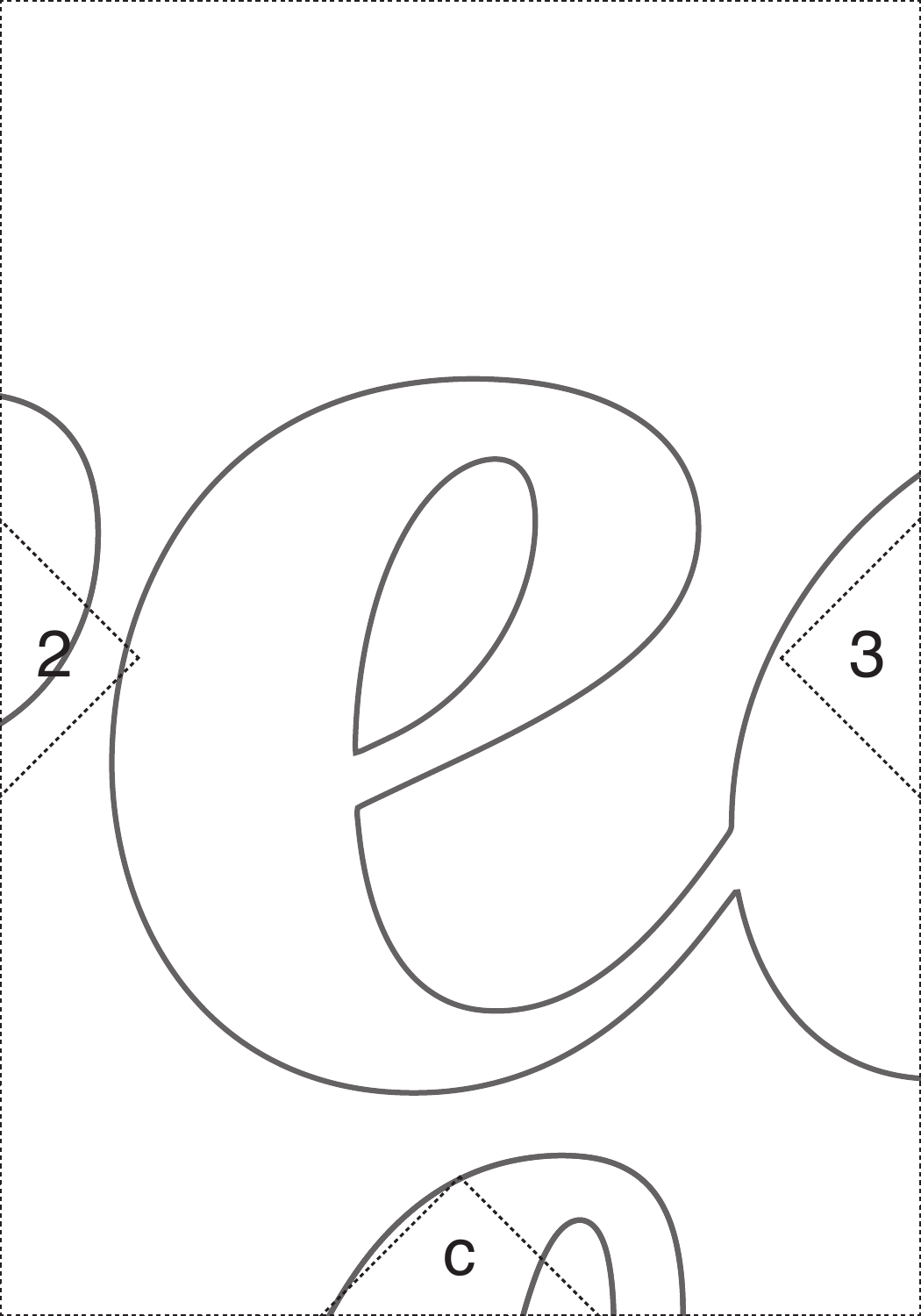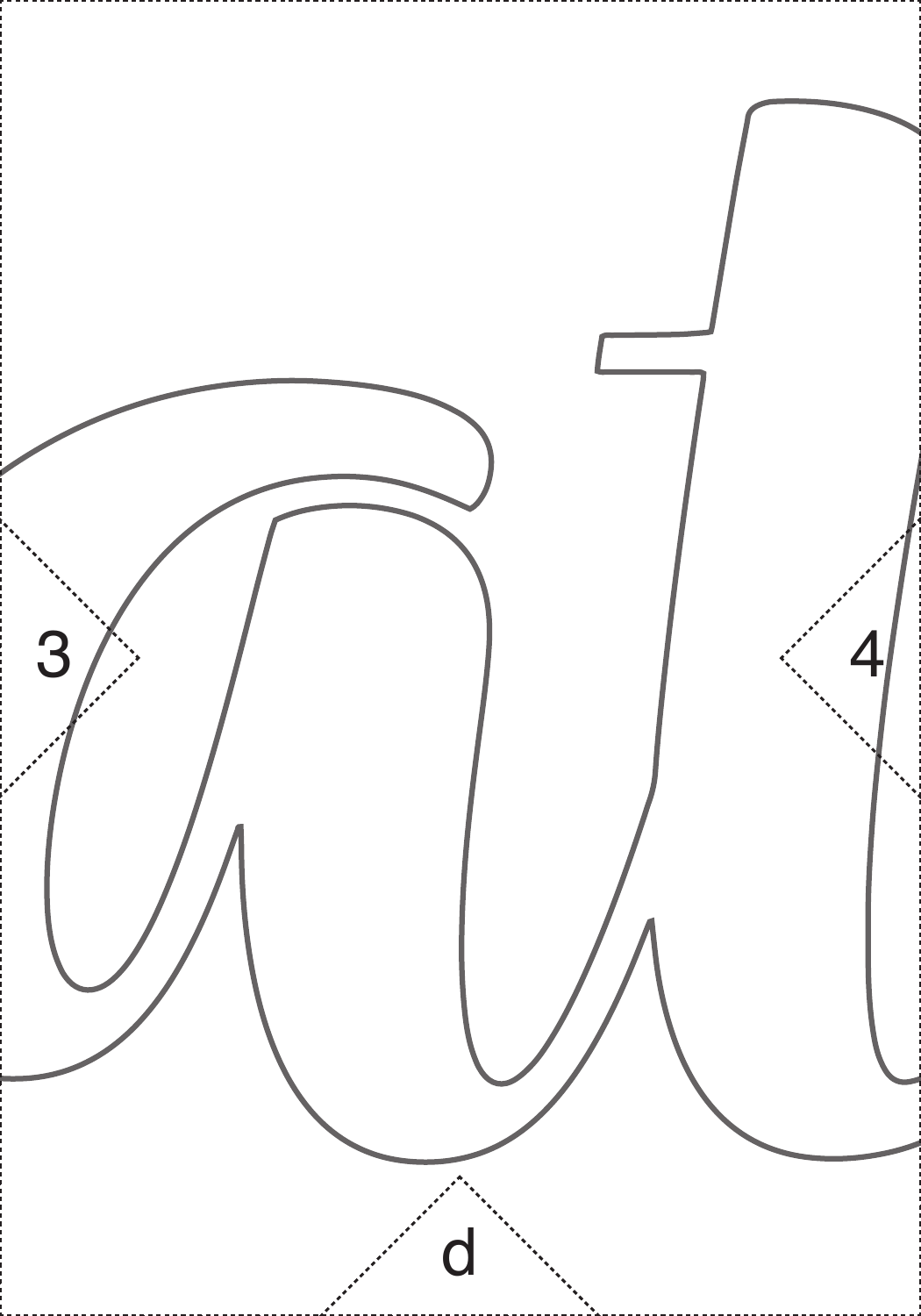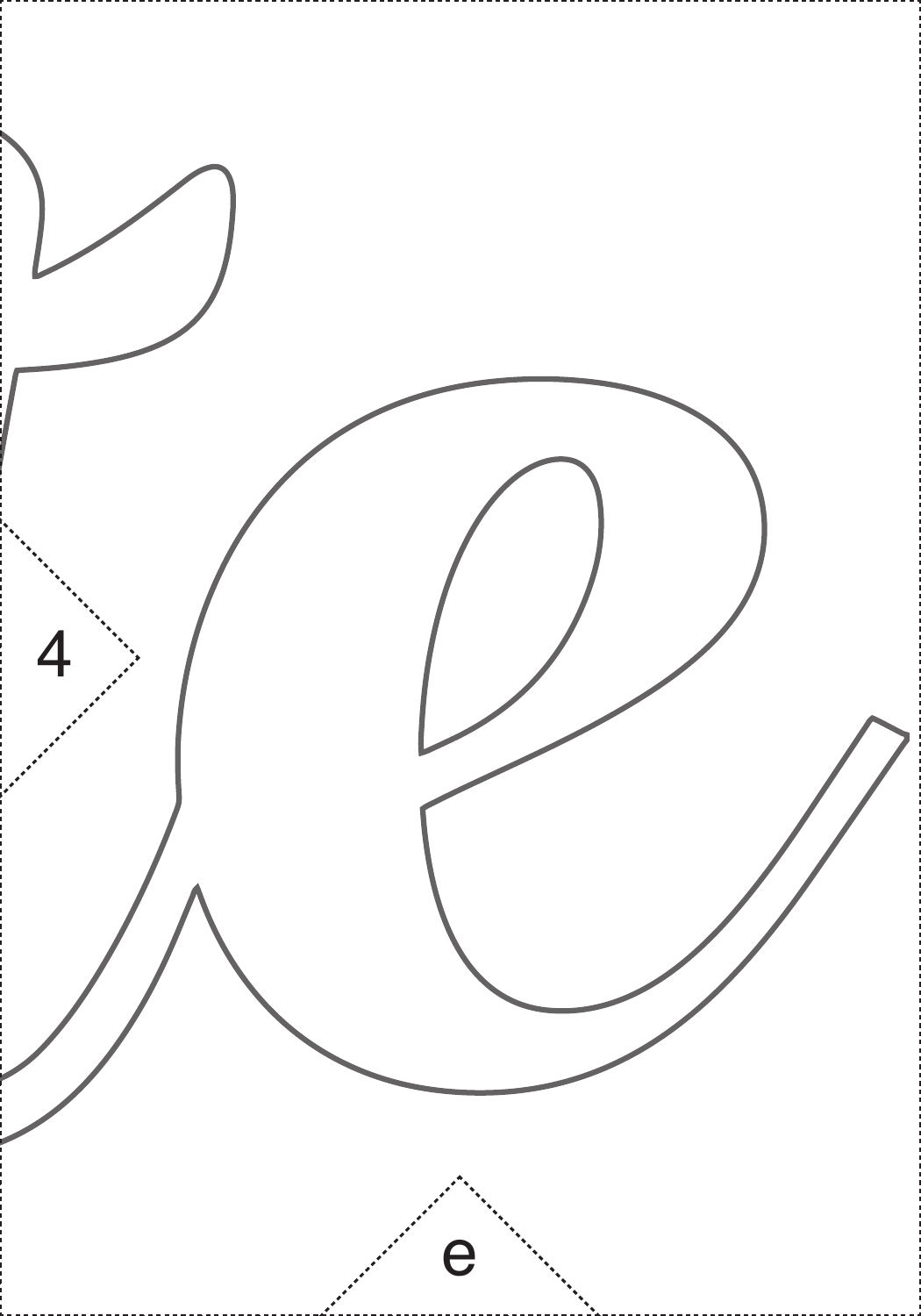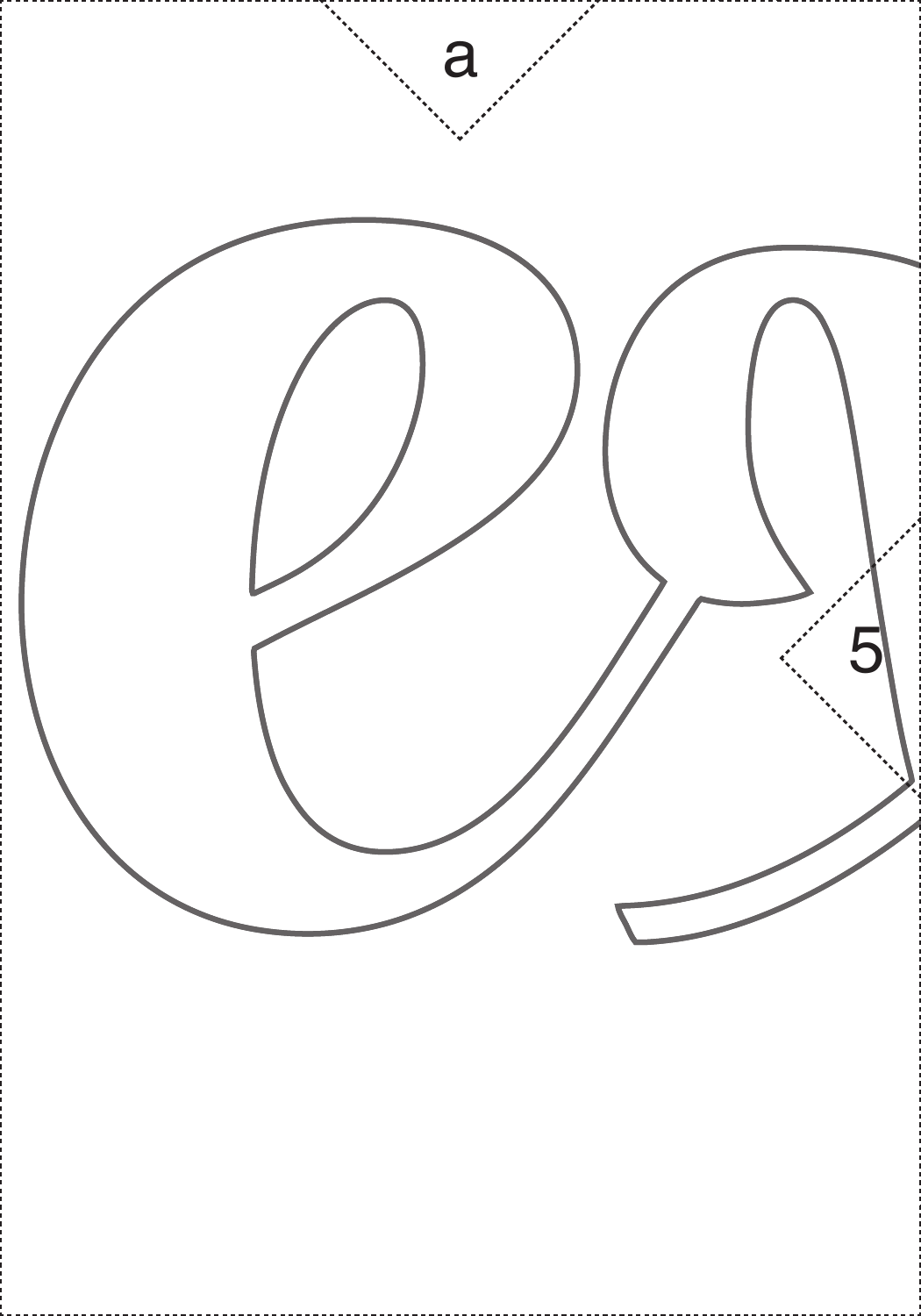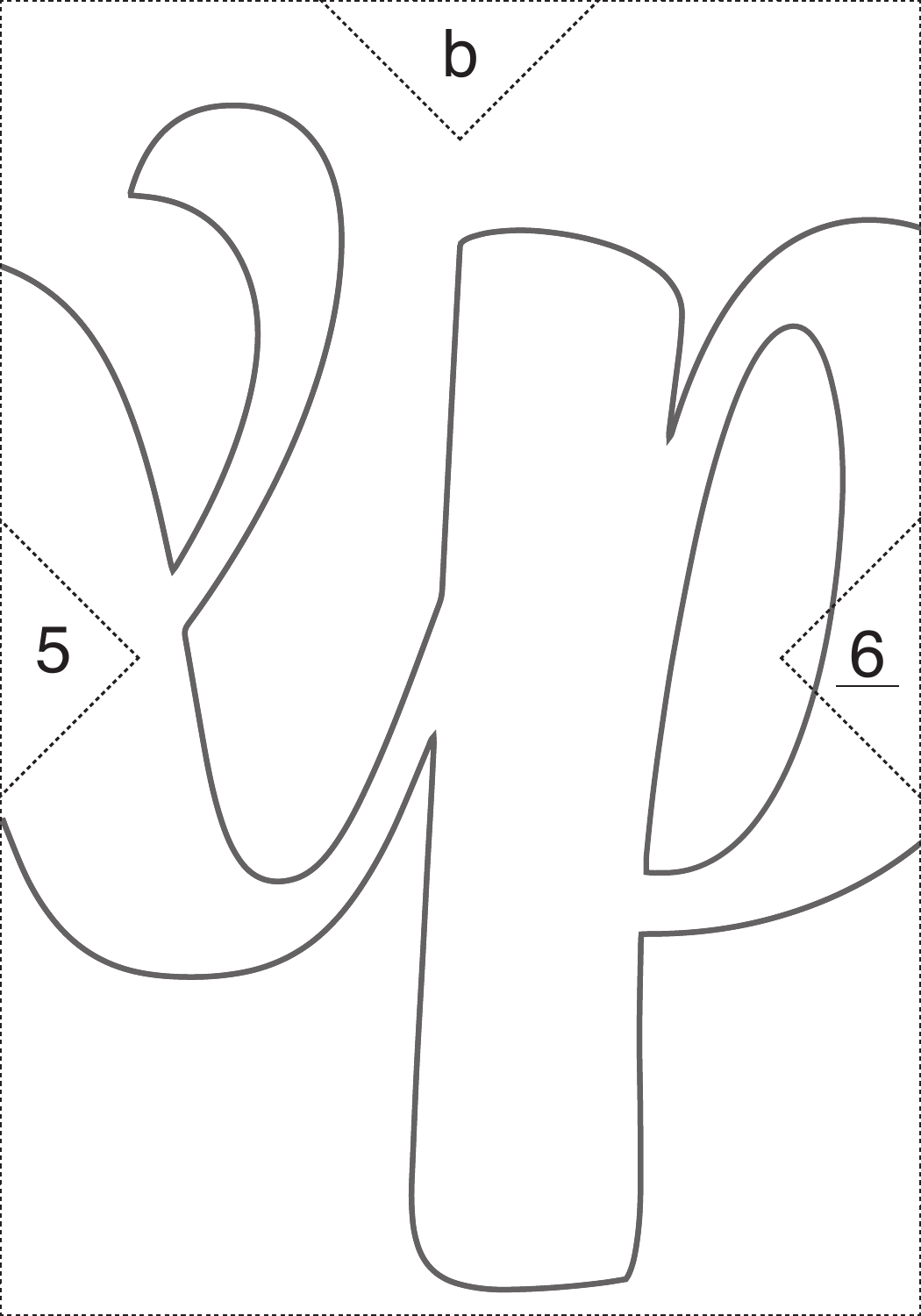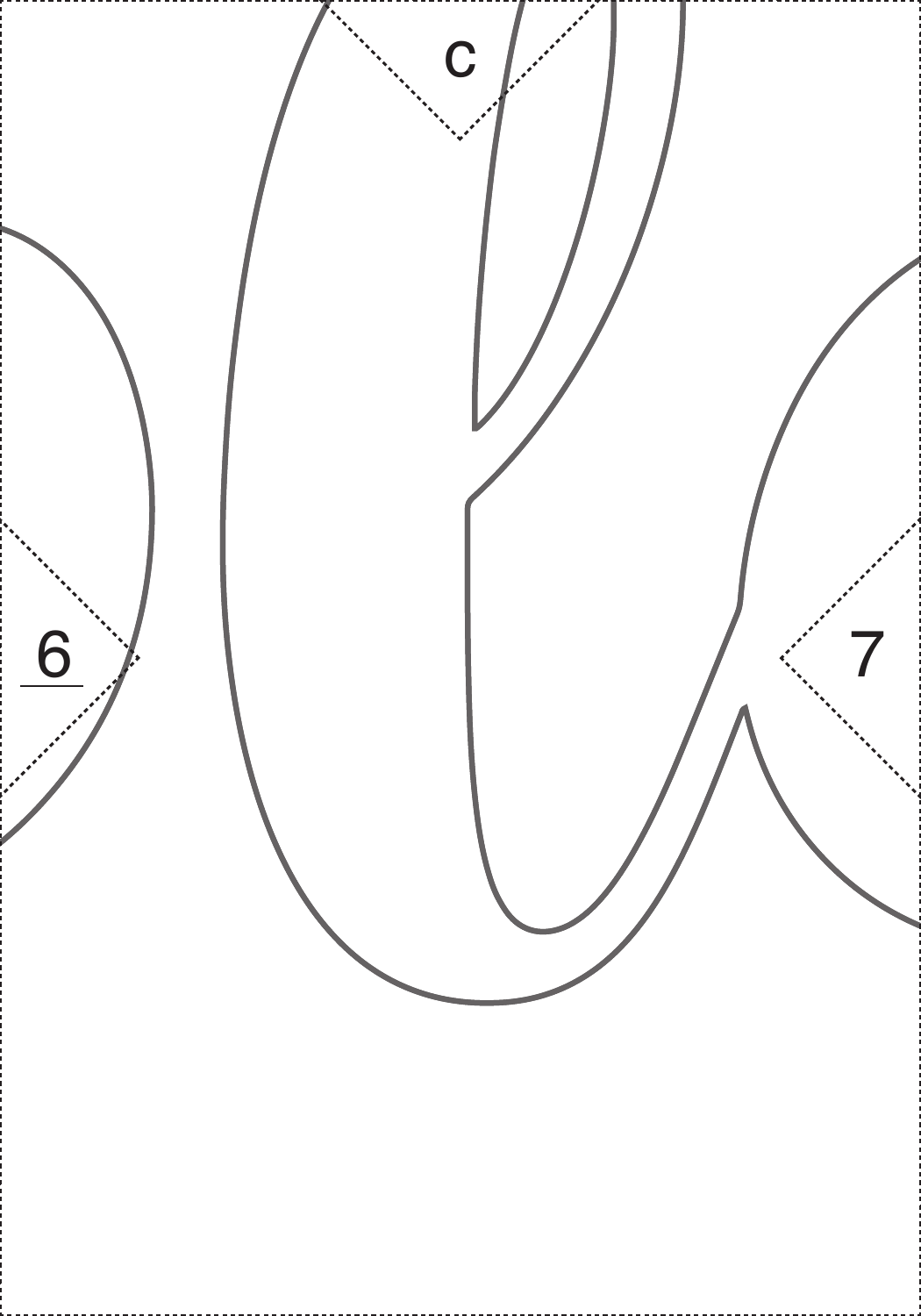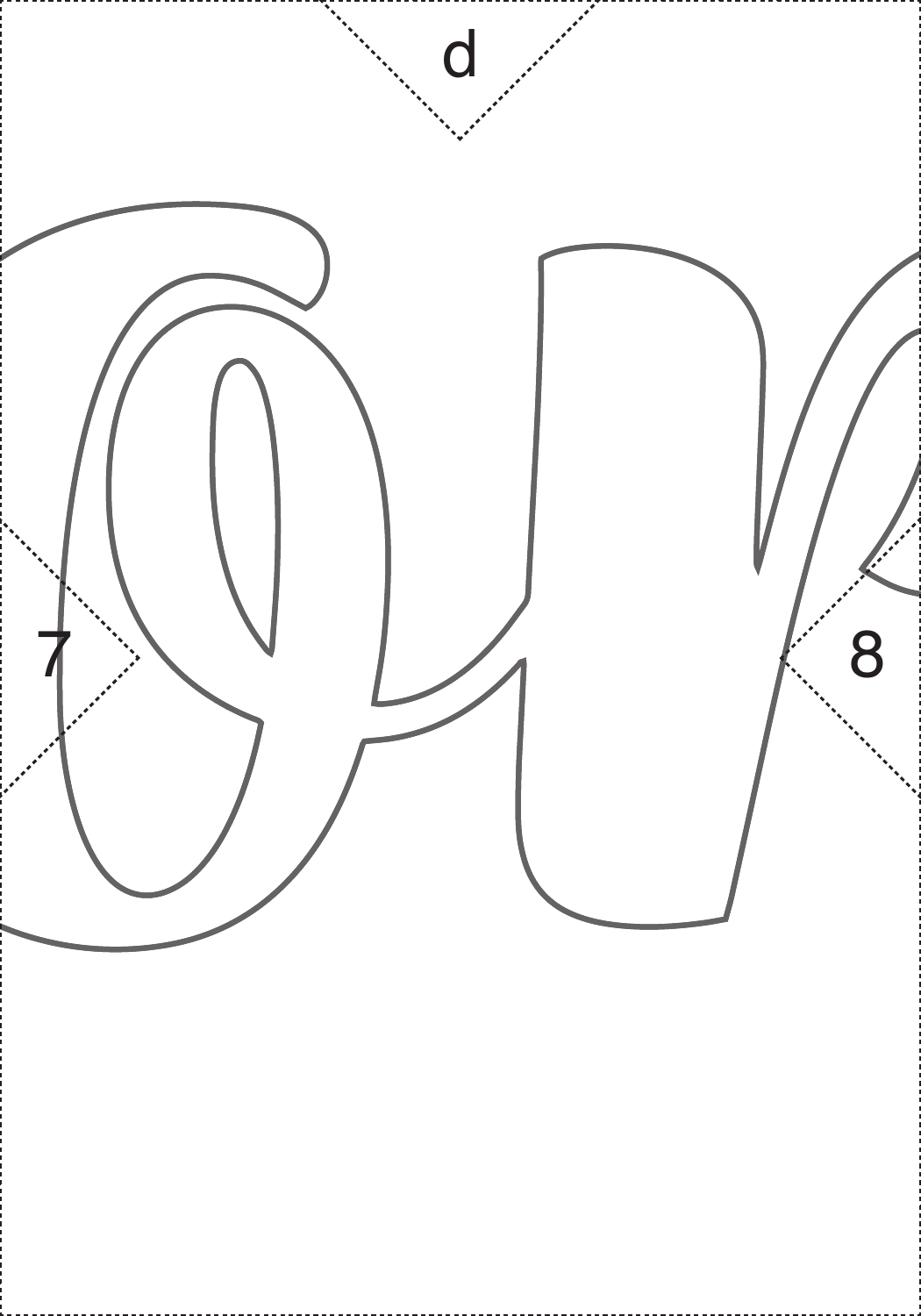